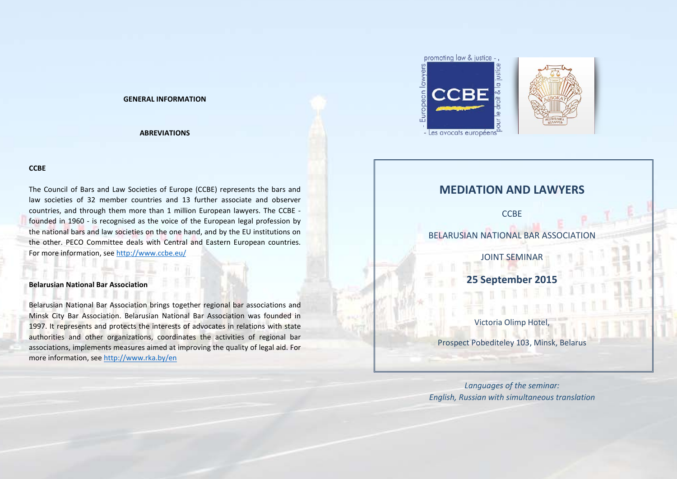# **GENERAL INFORMATION**

# **ABREVIATIONS**

# **CCBE**

The Council of Bars and Law Societies of Europe (CCBE) represents the bars and law societies of 32 member countries and 13 further associate and observer countries, and through them more than 1 million European lawyers. The CCBE founded in 1960 - is recognised as the voice of the European legal profession by the national bars and law societies on the one hand, and by the EU institutions on the other. PECO Committee deals with Central and Eastern European countries. For more information, see<http://www.ccbe.eu/>

# **Belarusian National Bar Association**

Belarusian National Bar Association brings together regional bar associations and Minsk City Bar Association. Belarusian National Bar Association was founded in 1997. It represents and protects the interests of advocates in relations with state authorities and other organizations, coordinates the activities of regional bar associations, implements measures aimed at improving the quality of legal aid. For more information, see<http://www.rka.by/en>



# **MEDIATION AND LAWYERS**

**CCBE** 

BELARUSIAN NATIONAL BAR ASSOCIATION

JOINT SEMINAR

**25 September 2015**

Victoria Olimp Hotel,

Prospect Pobediteley 103, Minsk, Belarus

*Languages of the seminar: English, Russian with simultaneous translation*